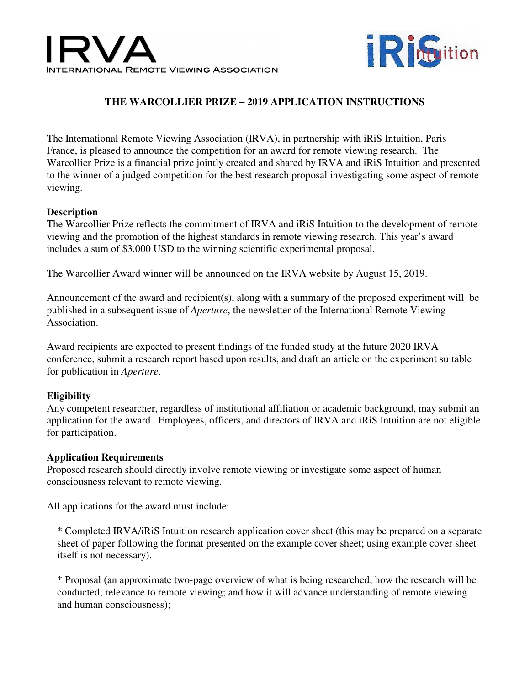



# **THE WARCOLLIER PRIZE – 2019 APPLICATION INSTRUCTIONS**

The International Remote Viewing Association (IRVA), in partnership with iRiS Intuition, Paris France, is pleased to announce the competition for an award for remote viewing research. The Warcollier Prize is a financial prize jointly created and shared by IRVA and iRiS Intuition and presented to the winner of a judged competition for the best research proposal investigating some aspect of remote viewing.

#### **Description**

The Warcollier Prize reflects the commitment of IRVA and iRiS Intuition to the development of remote viewing and the promotion of the highest standards in remote viewing research. This year's award includes a sum of \$3,000 USD to the winning scientific experimental proposal.

The Warcollier Award winner will be announced on the IRVA website by August 15, 2019.

Announcement of the award and recipient(s), along with a summary of the proposed experiment will be published in a subsequent issue of *Aperture*, the newsletter of the International Remote Viewing Association.

Award recipients are expected to present findings of the funded study at the future 2020 IRVA conference, submit a research report based upon results, and draft an article on the experiment suitable for publication in *Aperture*.

## **Eligibility**

Any competent researcher, regardless of institutional affiliation or academic background, may submit an application for the award. Employees, officers, and directors of IRVA and iRiS Intuition are not eligible for participation.

#### **Application Requirements**

Proposed research should directly involve remote viewing or investigate some aspect of human consciousness relevant to remote viewing.

All applications for the award must include:

\* Completed IRVA/iRiS Intuition research application cover sheet (this may be prepared on a separate sheet of paper following the format presented on the example cover sheet; using example cover sheet itself is not necessary).

\* Proposal (an approximate two-page overview of what is being researched; how the research will be conducted; relevance to remote viewing; and how it will advance understanding of remote viewing and human consciousness);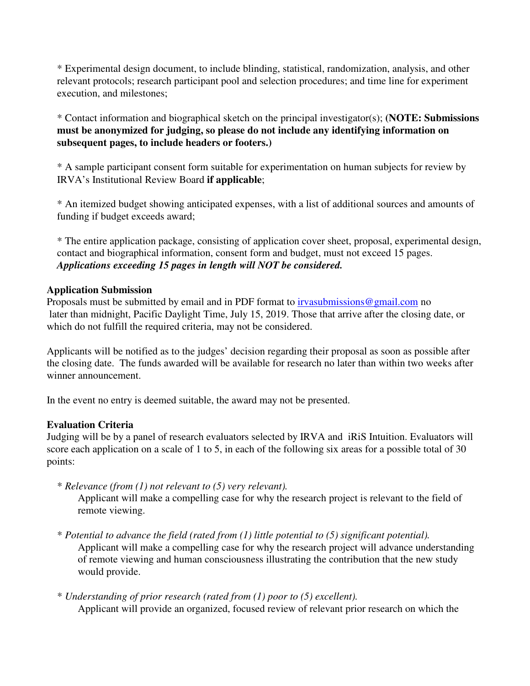\* Experimental design document, to include blinding, statistical, randomization, analysis, and other relevant protocols; research participant pool and selection procedures; and time line for experiment execution, and milestones;

\* Contact information and biographical sketch on the principal investigator(s); **(NOTE: Submissions must be anonymized for judging, so please do not include any identifying information on subsequent pages, to include headers or footers.)** 

\* A sample participant consent form suitable for experimentation on human subjects for review by IRVA's Institutional Review Board **if applicable**;

\* An itemized budget showing anticipated expenses, with a list of additional sources and amounts of funding if budget exceeds award;

\* The entire application package, consisting of application cover sheet, proposal, experimental design, contact and biographical information, consent form and budget, must not exceed 15 pages. *Applications exceeding 15 pages in length will NOT be considered.*

## **Application Submission**

Proposals must be submitted by email and in PDF format to irvasubmissions@gmail.com no later than midnight, Pacific Daylight Time, July 15, 2019. Those that arrive after the closing date, or which do not fulfill the required criteria, may not be considered.

Applicants will be notified as to the judges' decision regarding their proposal as soon as possible after the closing date. The funds awarded will be available for research no later than within two weeks after winner announcement.

In the event no entry is deemed suitable, the award may not be presented.

## **Evaluation Criteria**

Judging will be by a panel of research evaluators selected by IRVA and iRiS Intuition. Evaluators will score each application on a scale of 1 to 5, in each of the following six areas for a possible total of 30 points:

\* *Relevance (from (1) not relevant to (5) very relevant).* 

Applicant will make a compelling case for why the research project is relevant to the field of remote viewing.

- \* *Potential to advance the field (rated from (1) little potential to (5) significant potential).* Applicant will make a compelling case for why the research project will advance understanding of remote viewing and human consciousness illustrating the contribution that the new study would provide.
- \* *Understanding of prior research (rated from (1) poor to (5) excellent).* Applicant will provide an organized, focused review of relevant prior research on which the